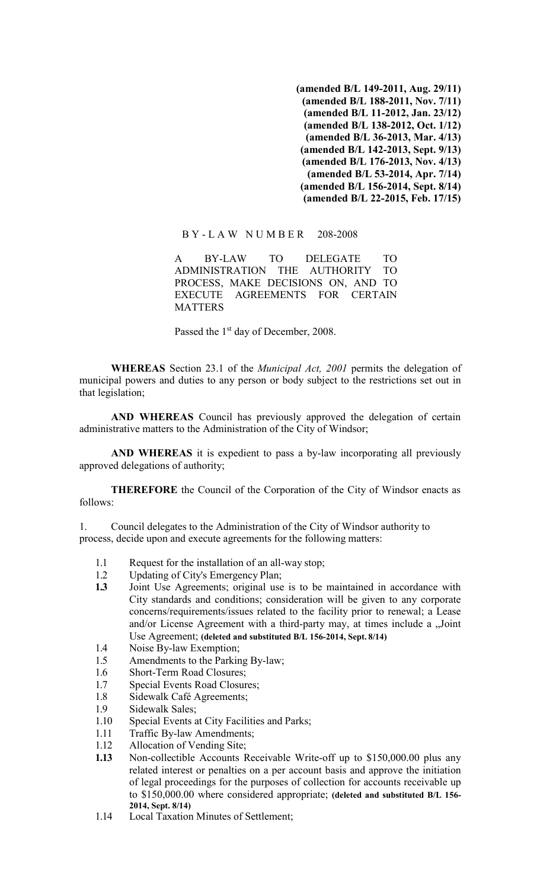**(amended B/L 149-2011, Aug. 29/11) (amended B/L 188-2011, Nov. 7/11) (amended B/L 11-2012, Jan. 23/12) (amended B/L 138-2012, Oct. 1/12) (amended B/L 36-2013, Mar. 4/13) (amended B/L 142-2013, Sept. 9/13) (amended B/L 176-2013, Nov. 4/13) (amended B/L 53-2014, Apr. 7/14) (amended B/L 156-2014, Sept. 8/14) (amended B/L 22-2015, Feb. 17/15)**

### B Y - L A W N U M B E R 208-2008

A BY-LAW TO DELEGATE TO ADMINISTRATION THE AUTHORITY TO PROCESS, MAKE DECISIONS ON, AND TO EXECUTE AGREEMENTS FOR CERTAIN **MATTERS** 

Passed the 1<sup>st</sup> day of December, 2008.

**WHEREAS** Section 23.1 of the *Municipal Act, 2001* permits the delegation of municipal powers and duties to any person or body subject to the restrictions set out in that legislation;

**AND WHEREAS** Council has previously approved the delegation of certain administrative matters to the Administration of the City of Windsor;

**AND WHEREAS** it is expedient to pass a by-law incorporating all previously approved delegations of authority;

**THEREFORE** the Council of the Corporation of the City of Windsor enacts as follows:

1. Council delegates to the Administration of the City of Windsor authority to process, decide upon and execute agreements for the following matters:

- 1.1 Request for the installation of an all-way stop;
- 1.2 Updating of City's Emergency Plan;
- **1.3** Joint Use Agreements; original use is to be maintained in accordance with City standards and conditions; consideration will be given to any corporate concerns/requirements/issues related to the facility prior to renewal; a Lease and/or License Agreement with a third-party may, at times include a "Joint Use Agreement; **(deleted and substituted B/L 156-2014, Sept. 8/14)**
- 1.4 Noise By-law Exemption;
- 1.5 Amendments to the Parking By-law;
- 1.6 Short-Term Road Closures;
- 1.7 Special Events Road Closures;
- 1.8 Sidewalk Café Agreements;
- 1.9 Sidewalk Sales;
- 1.10 Special Events at City Facilities and Parks;
- 1.11 Traffic By-law Amendments;
- 1.12 Allocation of Vending Site;
- **1.13** Non-collectible Accounts Receivable Write-off up to \$150,000.00 plus any related interest or penalties on a per account basis and approve the initiation of legal proceedings for the purposes of collection for accounts receivable up to \$150,000.00 where considered appropriate; **(deleted and substituted B/L 156- 2014, Sept. 8/14)**
- 1.14 Local Taxation Minutes of Settlement;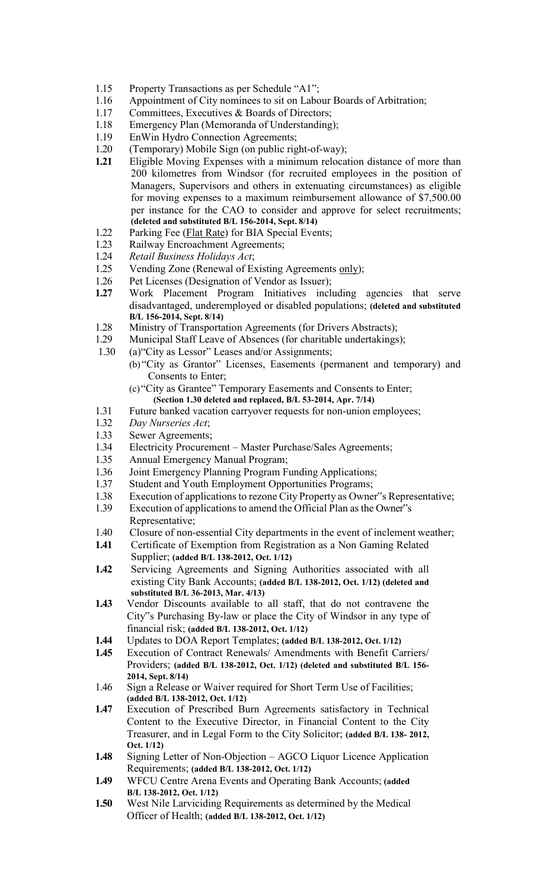- 1.15 Property Transactions as per Schedule "A1";
- 1.16 Appointment of City nominees to sit on Labour Boards of Arbitration;
- 1.17 Committees, Executives & Boards of Directors;
- 1.18 Emergency Plan (Memoranda of Understanding);
- 1.19 EnWin Hydro Connection Agreements;
- 1.20 (Temporary) Mobile Sign (on public right-of-way);
- **1.21** Eligible Moving Expenses with a minimum relocation distance of more than 200 kilometres from Windsor (for recruited employees in the position of Managers, Supervisors and others in extenuating circumstances) as eligible for moving expenses to a maximum reimbursement allowance of \$7,500.00 per instance for the CAO to consider and approve for select recruitments; **(deleted and substituted B/L 156-2014, Sept. 8/14)**
- 1.22 Parking Fee (Flat Rate) for BIA Special Events;
- 1.23 Railway Encroachment Agreements;
- 1.24 *Retail Business Holidays Act*;
- 1.25 Vending Zone (Renewal of Existing Agreements only);
- 1.26 Pet Licenses (Designation of Vendor as Issuer);
- **1.27** Work Placement Program Initiatives including agencies that serve disadvantaged, underemployed or disabled populations; **(deleted and substituted B/L 156-2014, Sept. 8/14)**
- 1.28 Ministry of Transportation Agreements (for Drivers Abstracts);
- 1.29 Municipal Staff Leave of Absences (for charitable undertakings);
- 1.30 (a)"City as Lessor" Leases and/or Assignments;
	- (b) "City as Grantor" Licenses, Easements (permanent and temporary) and Consents to Enter;
		- (c)"City as Grantee" Temporary Easements and Consents to Enter; **(Section 1.30 deleted and replaced, B/L 53-2014, Apr. 7/14)**
- 1.31 Future banked vacation carryover requests for non-union employees;
- 1.32 *Day Nurseries Act*;
- 1.33 Sewer Agreements;
- 1.34 Electricity Procurement Master Purchase/Sales Agreements;
- 1.35 Annual Emergency Manual Program;
- 1.36 Joint Emergency Planning Program Funding Applications;
- 1.37 Student and Youth Employment Opportunities Programs;
- 1.38 Execution of applications to rezone City Property as Owner"s Representative;<br>1.39 Execution of applications to amend the Official Plan as the Owner"s
- Execution of applications to amend the Official Plan as the Owner"s Representative;
- 1.40 Closure of non-essential City departments in the event of inclement weather;
- **1.41** Certificate of Exemption from Registration as a Non Gaming Related Supplier; **(added B/L 138-2012, Oct. 1/12)**
- **1.42** Servicing Agreements and Signing Authorities associated with all existing City Bank Accounts; **(added B/L 138-2012, Oct. 1/12) (deleted and substituted B/L 36-2013, Mar. 4/13)**
- **1.43** Vendor Discounts available to all staff, that do not contravene the City"s Purchasing By-law or place the City of Windsor in any type of financial risk; **(added B/L 138-2012, Oct. 1/12)**
- **1.44** Updates to DOA Report Templates; **(added B/L 138-2012, Oct. 1/12)**
- **1.45** Execution of Contract Renewals/ Amendments with Benefit Carriers/ Providers; **(added B/L 138-2012, Oct. 1/12) (deleted and substituted B/L 156- 2014, Sept. 8/14)**
- 1.46 Sign a Release or Waiver required for Short Term Use of Facilities; **(added B/L 138-2012, Oct. 1/12)**
- **1.47** Execution of Prescribed Burn Agreements satisfactory in Technical Content to the Executive Director, in Financial Content to the City Treasurer, and in Legal Form to the City Solicitor; **(added B/L 138- 2012, Oct. 1/12)**
- **1.48** Signing Letter of Non-Objection AGCO Liquor Licence Application Requirements; **(added B/L 138-2012, Oct. 1/12)**
- **1.49** WFCU Centre Arena Events and Operating Bank Accounts; **(added B/L 138-2012, Oct. 1/12)**
- **1.50** West Nile Larviciding Requirements as determined by the Medical Officer of Health; **(added B/L 138-2012, Oct. 1/12)**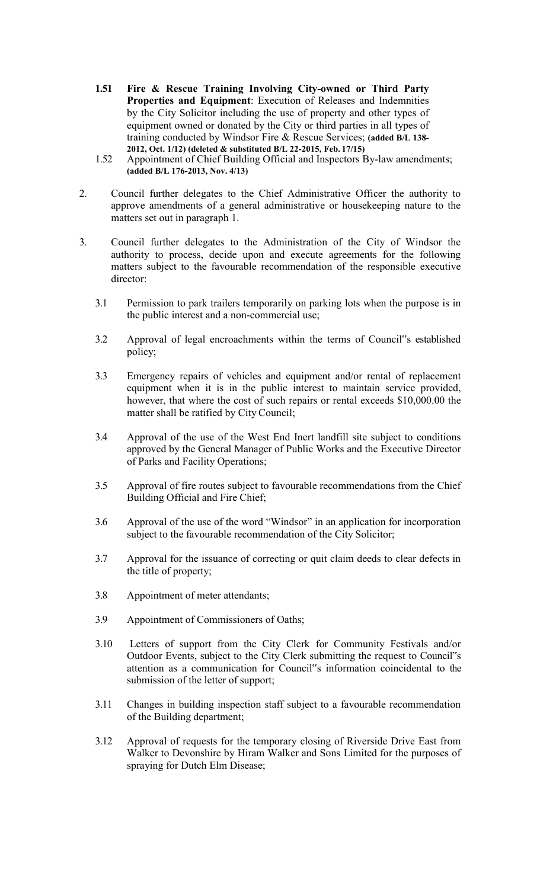- **1.51 Fire & Rescue Training Involving City-owned or Third Party Properties and Equipment**: Execution of Releases and Indemnities by the City Solicitor including the use of property and other types of equipment owned or donated by the City or third parties in all types of training conducted by Windsor Fire & Rescue Services; **(added B/L 138- 2012, Oct. 1/12) (deleted & substituted B/L 22-2015, Feb. 17/15)**
- 1.52 Appointment of Chief Building Official and Inspectors By-law amendments; **(added B/L 176-2013, Nov. 4/13)**
- 2. Council further delegates to the Chief Administrative Officer the authority to approve amendments of a general administrative or housekeeping nature to the matters set out in paragraph 1.
- 3. Council further delegates to the Administration of the City of Windsor the authority to process, decide upon and execute agreements for the following matters subject to the favourable recommendation of the responsible executive director:
	- 3.1 Permission to park trailers temporarily on parking lots when the purpose is in the public interest and a non-commercial use;
	- 3.2 Approval of legal encroachments within the terms of Council"s established policy;
	- 3.3 Emergency repairs of vehicles and equipment and/or rental of replacement equipment when it is in the public interest to maintain service provided, however, that where the cost of such repairs or rental exceeds \$10,000.00 the matter shall be ratified by City Council;
	- 3.4 Approval of the use of the West End Inert landfill site subject to conditions approved by the General Manager of Public Works and the Executive Director of Parks and Facility Operations;
	- 3.5 Approval of fire routes subject to favourable recommendations from the Chief Building Official and Fire Chief;
	- 3.6 Approval of the use of the word "Windsor" in an application for incorporation subject to the favourable recommendation of the City Solicitor;
	- 3.7 Approval for the issuance of correcting or quit claim deeds to clear defects in the title of property;
	- 3.8 Appointment of meter attendants;
	- 3.9 Appointment of Commissioners of Oaths;
	- 3.10 Letters of support from the City Clerk for Community Festivals and/or Outdoor Events, subject to the City Clerk submitting the request to Council"s attention as a communication for Council"s information coincidental to the submission of the letter of support;
	- 3.11 Changes in building inspection staff subject to a favourable recommendation of the Building department;
	- 3.12 Approval of requests for the temporary closing of Riverside Drive East from Walker to Devonshire by Hiram Walker and Sons Limited for the purposes of spraying for Dutch Elm Disease;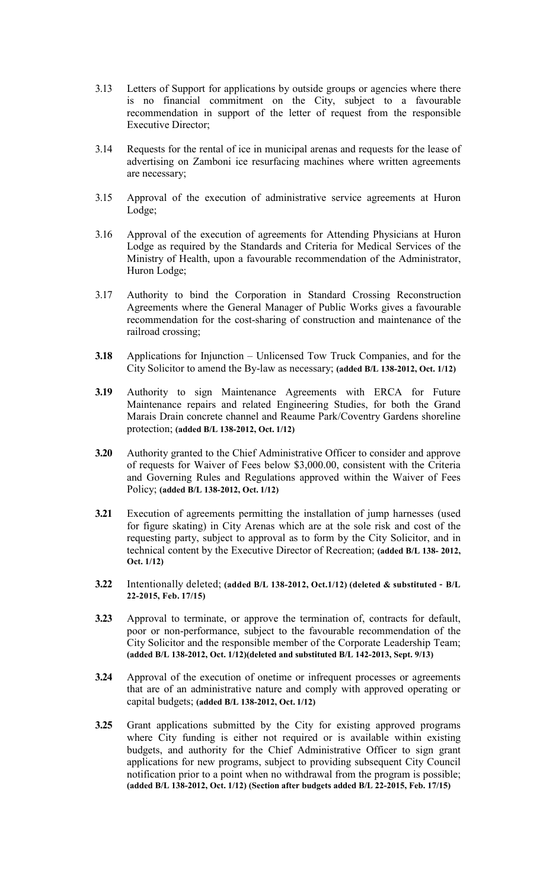- 3.13 Letters of Support for applications by outside groups or agencies where there is no financial commitment on the City, subject to a favourable recommendation in support of the letter of request from the responsible Executive Director;
- 3.14 Requests for the rental of ice in municipal arenas and requests for the lease of advertising on Zamboni ice resurfacing machines where written agreements are necessary;
- 3.15 Approval of the execution of administrative service agreements at Huron Lodge;
- 3.16 Approval of the execution of agreements for Attending Physicians at Huron Lodge as required by the Standards and Criteria for Medical Services of the Ministry of Health, upon a favourable recommendation of the Administrator, Huron Lodge;
- 3.17 Authority to bind the Corporation in Standard Crossing Reconstruction Agreements where the General Manager of Public Works gives a favourable recommendation for the cost-sharing of construction and maintenance of the railroad crossing;
- **3.18** Applications for Injunction Unlicensed Tow Truck Companies, and for the City Solicitor to amend the By-law as necessary; **(added B/L 138-2012, Oct. 1/12)**
- **3.19** Authority to sign Maintenance Agreements with ERCA for Future Maintenance repairs and related Engineering Studies, for both the Grand Marais Drain concrete channel and Reaume Park/Coventry Gardens shoreline protection; **(added B/L 138-2012, Oct. 1/12)**
- **3.20** Authority granted to the Chief Administrative Officer to consider and approve of requests for Waiver of Fees below \$3,000.00, consistent with the Criteria and Governing Rules and Regulations approved within the Waiver of Fees Policy; **(added B/L 138-2012, Oct. 1/12)**
- **3.21** Execution of agreements permitting the installation of jump harnesses (used for figure skating) in City Arenas which are at the sole risk and cost of the requesting party, subject to approval as to form by the City Solicitor, and in technical content by the Executive Director of Recreation; **(added B/L 138- 2012, Oct. 1/12)**
- **3.22** Intentionally deleted; **(added B/L 138-2012, Oct.1/12) (deleted & substituted – B/L 22-2015, Feb. 17/15)**
- **3.23** Approval to terminate, or approve the termination of, contracts for default, poor or non-performance, subject to the favourable recommendation of the City Solicitor and the responsible member of the Corporate Leadership Team; **(added B/L 138-2012, Oct. 1/12)(deleted and substituted B/L 142-2013, Sept. 9/13)**
- **3.24** Approval of the execution of onetime or infrequent processes or agreements that are of an administrative nature and comply with approved operating or capital budgets; **(added B/L 138-2012, Oct. 1/12)**
- **3.25** Grant applications submitted by the City for existing approved programs where City funding is either not required or is available within existing budgets, and authority for the Chief Administrative Officer to sign grant applications for new programs, subject to providing subsequent City Council notification prior to a point when no withdrawal from the program is possible; **(added B/L 138-2012, Oct. 1/12) (Section after budgets added B/L 22-2015, Feb. 17/15)**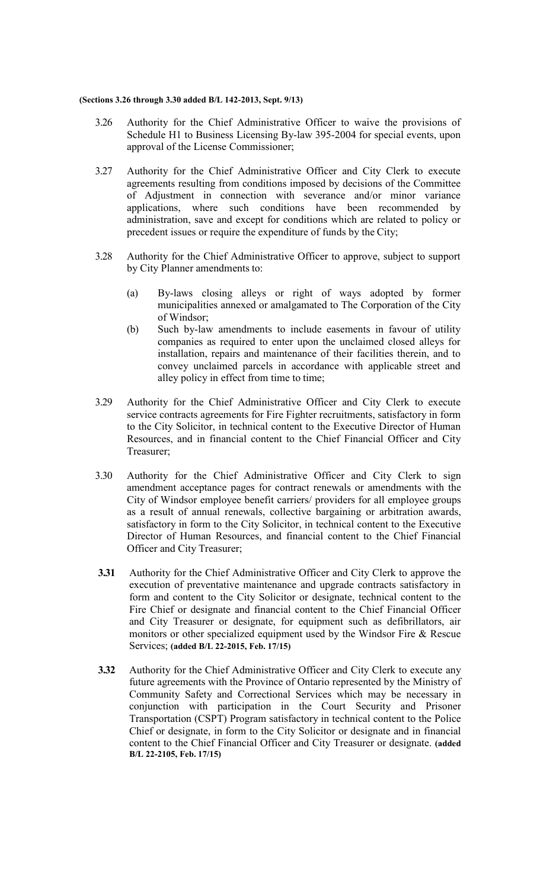#### **(Sections 3.26 through 3.30 added B/L 142-2013, Sept. 9/13)**

- 3.26 Authority for the Chief Administrative Officer to waive the provisions of Schedule H1 to Business Licensing By-law 395-2004 for special events, upon approval of the License Commissioner;
- 3.27 Authority for the Chief Administrative Officer and City Clerk to execute agreements resulting from conditions imposed by decisions of the Committee of Adjustment in connection with severance and/or minor variance applications, where such conditions have been recommended by administration, save and except for conditions which are related to policy or precedent issues or require the expenditure of funds by the City;
- 3.28 Authority for the Chief Administrative Officer to approve, subject to support by City Planner amendments to:
	- (a) By-laws closing alleys or right of ways adopted by former municipalities annexed or amalgamated to The Corporation of the City of Windsor;
	- (b) Such by-law amendments to include easements in favour of utility companies as required to enter upon the unclaimed closed alleys for installation, repairs and maintenance of their facilities therein, and to convey unclaimed parcels in accordance with applicable street and alley policy in effect from time to time;
- 3.29 Authority for the Chief Administrative Officer and City Clerk to execute service contracts agreements for Fire Fighter recruitments, satisfactory in form to the City Solicitor, in technical content to the Executive Director of Human Resources, and in financial content to the Chief Financial Officer and City Treasurer;
- 3.30 Authority for the Chief Administrative Officer and City Clerk to sign amendment acceptance pages for contract renewals or amendments with the City of Windsor employee benefit carriers/ providers for all employee groups as a result of annual renewals, collective bargaining or arbitration awards, satisfactory in form to the City Solicitor, in technical content to the Executive Director of Human Resources, and financial content to the Chief Financial Officer and City Treasurer;
- **3.31** Authority for the Chief Administrative Officer and City Clerk to approve the execution of preventative maintenance and upgrade contracts satisfactory in form and content to the City Solicitor or designate, technical content to the Fire Chief or designate and financial content to the Chief Financial Officer and City Treasurer or designate, for equipment such as defibrillators, air monitors or other specialized equipment used by the Windsor Fire & Rescue Services; **(added B/L 22-2015, Feb. 17/15)**
- **3.32** Authority for the Chief Administrative Officer and City Clerk to execute any future agreements with the Province of Ontario represented by the Ministry of Community Safety and Correctional Services which may be necessary in conjunction with participation in the Court Security and Prisoner Transportation (CSPT) Program satisfactory in technical content to the Police Chief or designate, in form to the City Solicitor or designate and in financial content to the Chief Financial Officer and City Treasurer or designate. **(added B/L 22-2105, Feb. 17/15)**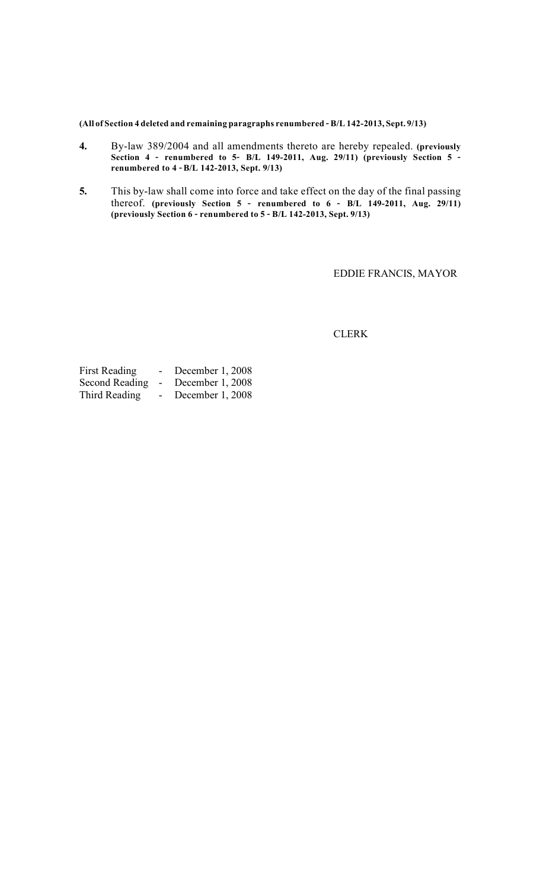**(All of Section 4 deleted and remaining paragraphs renumbered –B/L 142-2013, Sept. 9/13)**

- **4.** By-law 389/2004 and all amendments thereto are hereby repealed. **(previously Section 4 – renumbered to 5– B/L 149-2011, Aug. 29/11) (previously Section 5 – renumbered to 4 –B/L 142-2013, Sept. 9/13)**
- **5.** This by-law shall come into force and take effect on the day of the final passing thereof. **(previously Section 5 – renumbered to 6 – B/L 149-2011, Aug. 29/11) (previously Section 6 – renumbered to 5 – B/L 142-2013, Sept. 9/13)**

EDDIE FRANCIS, MAYOR

**CLERK** 

| First Reading         |        | December 1, 2008 |
|-----------------------|--------|------------------|
| <b>Second Reading</b> | $\sim$ | December 1, 2008 |
| Third Reading         |        | December 1, 2008 |